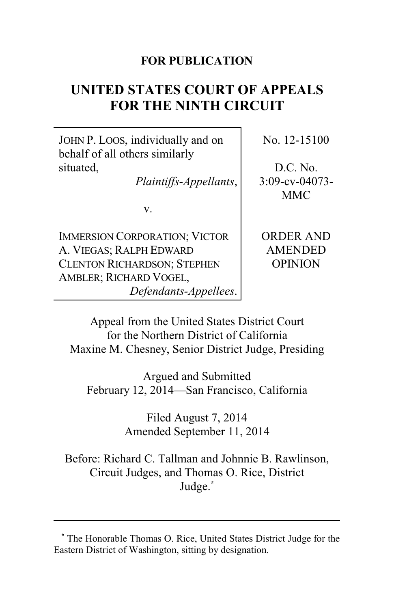## **FOR PUBLICATION**

# **UNITED STATES COURT OF APPEALS FOR THE NINTH CIRCUIT**

JOHN P. LOOS, individually and on behalf of all others similarly situated,

*Plaintiffs-Appellants*,

v.

IMMERSION CORPORATION; VICTOR A. VIEGAS; RALPH EDWARD CLENTON RICHARDSON; STEPHEN AMBLER; RICHARD VOGEL, *Defendants-Appellees*. No. 12-15100

D.C. No. 3:09-cv-04073- MMC

ORDER AND AMENDED OPINION

Appeal from the United States District Court for the Northern District of California Maxine M. Chesney, Senior District Judge, Presiding

Argued and Submitted February 12, 2014—San Francisco, California

> Filed August 7, 2014 Amended September 11, 2014

Before: Richard C. Tallman and Johnnie B. Rawlinson, Circuit Judges, and Thomas O. Rice, District Judge.**\***

**<sup>\*</sup>** The Honorable Thomas O. Rice, United States District Judge for the Eastern District of Washington, sitting by designation.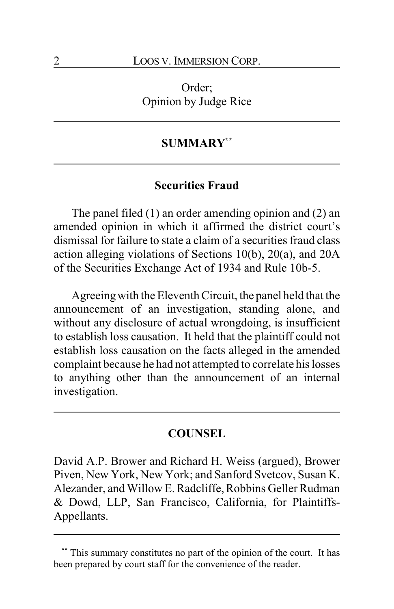Order; Opinion by Judge Rice

## **SUMMARY\*\***

## **Securities Fraud**

The panel filed (1) an order amending opinion and (2) an amended opinion in which it affirmed the district court's dismissal for failure to state a claim of a securities fraud class action alleging violations of Sections 10(b), 20(a), and 20A of the Securities Exchange Act of 1934 and Rule 10b-5.

Agreeingwith the Eleventh Circuit, the panel held that the announcement of an investigation, standing alone, and without any disclosure of actual wrongdoing, is insufficient to establish loss causation. It held that the plaintiff could not establish loss causation on the facts alleged in the amended complaint because he had not attempted to correlate his losses to anything other than the announcement of an internal investigation.

#### **COUNSEL**

David A.P. Brower and Richard H. Weiss (argued), Brower Piven, New York, New York; and Sanford Svetcov, Susan K. Alezander, and Willow E. Radcliffe, Robbins Geller Rudman & Dowd, LLP, San Francisco, California, for Plaintiffs-Appellants.

**<sup>\*\*</sup>** This summary constitutes no part of the opinion of the court. It has been prepared by court staff for the convenience of the reader.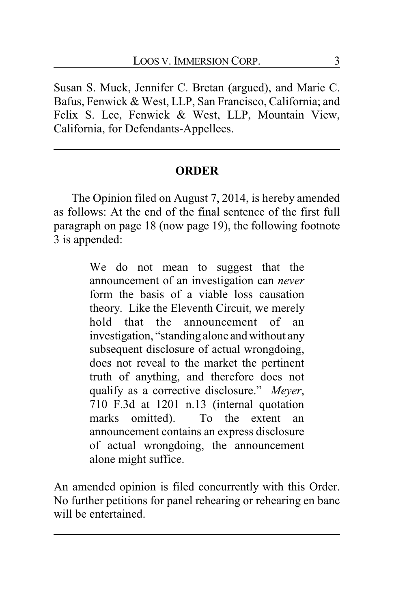Susan S. Muck, Jennifer C. Bretan (argued), and Marie C. Bafus, Fenwick & West, LLP, San Francisco, California; and Felix S. Lee, Fenwick & West, LLP, Mountain View, California, for Defendants-Appellees.

# **ORDER**

The Opinion filed on August 7, 2014, is hereby amended as follows: At the end of the final sentence of the first full paragraph on page 18 (now page 19), the following footnote 3 is appended:

> We do not mean to suggest that the announcement of an investigation can *never* form the basis of a viable loss causation theory. Like the Eleventh Circuit, we merely hold that the announcement of an investigation, "standing alone and without any subsequent disclosure of actual wrongdoing, does not reveal to the market the pertinent truth of anything, and therefore does not qualify as a corrective disclosure." *Meyer*, 710 F.3d at 1201 n.13 (internal quotation marks omitted). To the extent an announcement contains an express disclosure of actual wrongdoing, the announcement alone might suffice.

An amended opinion is filed concurrently with this Order. No further petitions for panel rehearing or rehearing en banc will be entertained.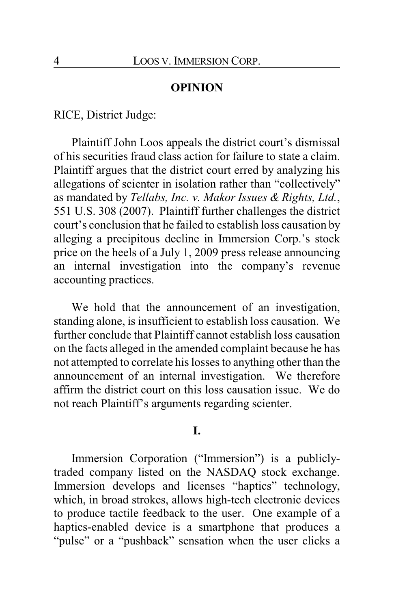## **OPINION**

RICE, District Judge:

Plaintiff John Loos appeals the district court's dismissal of his securities fraud class action for failure to state a claim. Plaintiff argues that the district court erred by analyzing his allegations of scienter in isolation rather than "collectively" as mandated by *Tellabs, Inc. v. Makor Issues & Rights, Ltd.*, 551 U.S. 308 (2007). Plaintiff further challenges the district court's conclusion that he failed to establish loss causation by alleging a precipitous decline in Immersion Corp.'s stock price on the heels of a July 1, 2009 press release announcing an internal investigation into the company's revenue accounting practices.

We hold that the announcement of an investigation, standing alone, is insufficient to establish loss causation. We further conclude that Plaintiff cannot establish loss causation on the facts alleged in the amended complaint because he has not attempted to correlate his losses to anything other than the announcement of an internal investigation. We therefore affirm the district court on this loss causation issue. We do not reach Plaintiff's arguments regarding scienter.

#### **I.**

Immersion Corporation ("Immersion") is a publiclytraded company listed on the NASDAQ stock exchange. Immersion develops and licenses "haptics" technology, which, in broad strokes, allows high-tech electronic devices to produce tactile feedback to the user. One example of a haptics-enabled device is a smartphone that produces a "pulse" or a "pushback" sensation when the user clicks a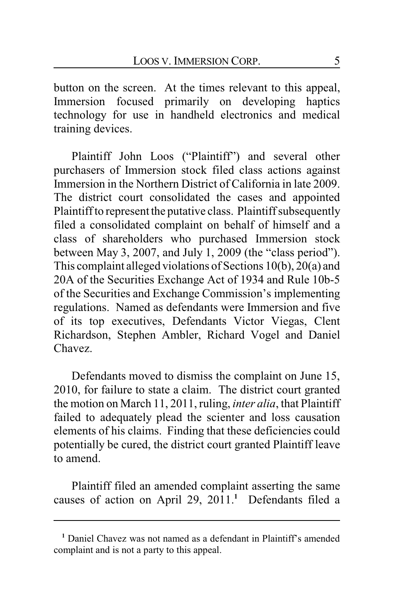button on the screen. At the times relevant to this appeal, Immersion focused primarily on developing haptics technology for use in handheld electronics and medical training devices.

Plaintiff John Loos ("Plaintiff") and several other purchasers of Immersion stock filed class actions against Immersion in the Northern District of California in late 2009. The district court consolidated the cases and appointed Plaintiff to represent the putative class. Plaintiff subsequently filed a consolidated complaint on behalf of himself and a class of shareholders who purchased Immersion stock between May 3, 2007, and July 1, 2009 (the "class period"). This complaint alleged violations of Sections 10(b), 20(a) and 20A of the Securities Exchange Act of 1934 and Rule 10b-5 of the Securities and Exchange Commission's implementing regulations. Named as defendants were Immersion and five of its top executives, Defendants Victor Viegas, Clent Richardson, Stephen Ambler, Richard Vogel and Daniel Chavez.

Defendants moved to dismiss the complaint on June 15, 2010, for failure to state a claim. The district court granted the motion on March 11, 2011, ruling, *inter alia*, that Plaintiff failed to adequately plead the scienter and loss causation elements of his claims. Finding that these deficiencies could potentially be cured, the district court granted Plaintiff leave to amend.

Plaintiff filed an amended complaint asserting the same causes of action on April 29, 2011.**<sup>1</sup>** Defendants filed a

**<sup>1</sup>** Daniel Chavez was not named as a defendant in Plaintiff's amended complaint and is not a party to this appeal.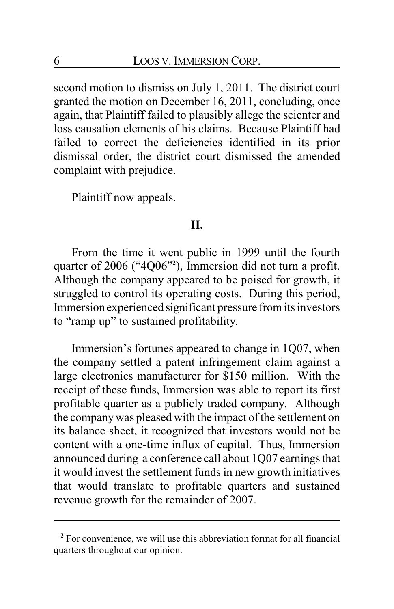second motion to dismiss on July 1, 2011. The district court granted the motion on December 16, 2011, concluding, once again, that Plaintiff failed to plausibly allege the scienter and loss causation elements of his claims. Because Plaintiff had failed to correct the deficiencies identified in its prior dismissal order, the district court dismissed the amended complaint with prejudice.

Plaintiff now appeals.

## **II.**

From the time it went public in 1999 until the fourth quarter of 2006 ("4Q06"**<sup>2</sup>** ), Immersion did not turn a profit. Although the company appeared to be poised for growth, it struggled to control its operating costs. During this period, Immersion experienced significant pressure from its investors to "ramp up" to sustained profitability.

Immersion's fortunes appeared to change in 1Q07, when the company settled a patent infringement claim against a large electronics manufacturer for \$150 million. With the receipt of these funds, Immersion was able to report its first profitable quarter as a publicly traded company. Although the companywas pleased with the impact of the settlement on its balance sheet, it recognized that investors would not be content with a one-time influx of capital. Thus, Immersion announced during a conference call about 1Q07 earnings that it would invest the settlement funds in new growth initiatives that would translate to profitable quarters and sustained revenue growth for the remainder of 2007.

**<sup>2</sup>** For convenience, we will use this abbreviation format for all financial quarters throughout our opinion.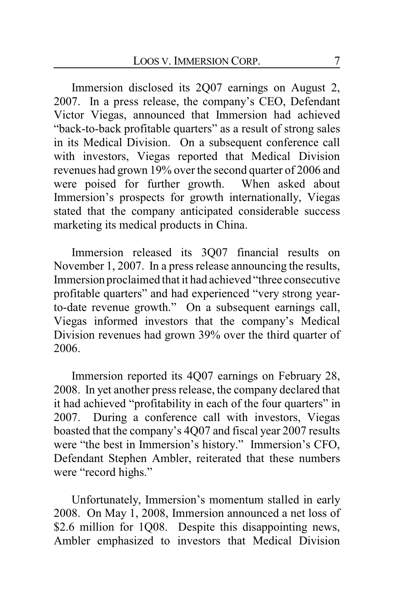Immersion disclosed its 2Q07 earnings on August 2, 2007. In a press release, the company's CEO, Defendant Victor Viegas, announced that Immersion had achieved "back-to-back profitable quarters" as a result of strong sales in its Medical Division. On a subsequent conference call with investors, Viegas reported that Medical Division revenues had grown 19% over the second quarter of 2006 and were poised for further growth. When asked about Immersion's prospects for growth internationally, Viegas stated that the company anticipated considerable success marketing its medical products in China.

Immersion released its 3Q07 financial results on November 1, 2007. In a press release announcing the results, Immersion proclaimed that it had achieved "three consecutive profitable quarters" and had experienced "very strong yearto-date revenue growth." On a subsequent earnings call, Viegas informed investors that the company's Medical Division revenues had grown 39% over the third quarter of 2006.

Immersion reported its 4Q07 earnings on February 28, 2008. In yet another press release, the company declared that it had achieved "profitability in each of the four quarters" in 2007. During a conference call with investors, Viegas boasted that the company's 4Q07 and fiscal year 2007 results were "the best in Immersion's history." Immersion's CFO, Defendant Stephen Ambler, reiterated that these numbers were "record highs."

Unfortunately, Immersion's momentum stalled in early 2008. On May 1, 2008, Immersion announced a net loss of \$2.6 million for 1Q08. Despite this disappointing news, Ambler emphasized to investors that Medical Division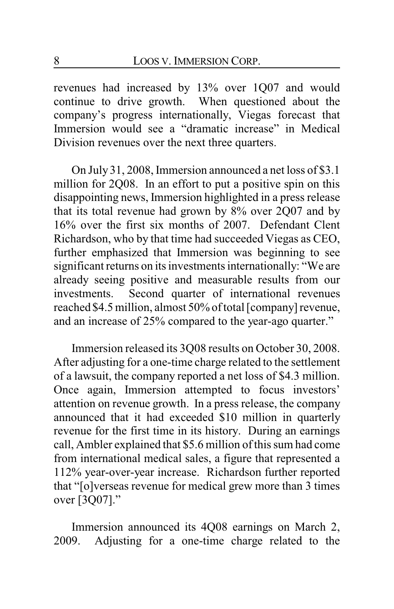revenues had increased by 13% over 1Q07 and would continue to drive growth. When questioned about the company's progress internationally, Viegas forecast that Immersion would see a "dramatic increase" in Medical Division revenues over the next three quarters.

On July 31, 2008, Immersion announced a net loss of \$3.1 million for 2Q08. In an effort to put a positive spin on this disappointing news, Immersion highlighted in a press release that its total revenue had grown by 8% over 2Q07 and by 16% over the first six months of 2007. Defendant Clent Richardson, who by that time had succeeded Viegas as CEO, further emphasized that Immersion was beginning to see significant returns on its investments internationally: "We are already seeing positive and measurable results from our investments. Second quarter of international revenues reached \$4.5 million, almost 50% of total [company] revenue, and an increase of 25% compared to the year-ago quarter."

Immersion released its 3Q08 results on October 30, 2008. After adjusting for a one-time charge related to the settlement of a lawsuit, the company reported a net loss of \$4.3 million. Once again, Immersion attempted to focus investors' attention on revenue growth. In a press release, the company announced that it had exceeded \$10 million in quarterly revenue for the first time in its history. During an earnings call, Ambler explained that \$5.6 million of this sum had come from international medical sales, a figure that represented a 112% year-over-year increase. Richardson further reported that "[o]verseas revenue for medical grew more than 3 times over [3Q07]."

Immersion announced its 4Q08 earnings on March 2, 2009. Adjusting for a one-time charge related to the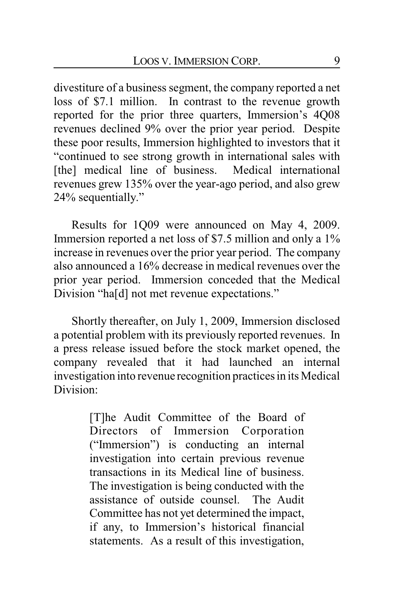divestiture of a business segment, the company reported a net loss of \$7.1 million. In contrast to the revenue growth reported for the prior three quarters, Immersion's 4Q08 revenues declined 9% over the prior year period. Despite these poor results, Immersion highlighted to investors that it "continued to see strong growth in international sales with [the] medical line of business. Medical international revenues grew 135% over the year-ago period, and also grew 24% sequentially."

Results for 1Q09 were announced on May 4, 2009. Immersion reported a net loss of \$7.5 million and only a 1% increase in revenues over the prior year period. The company also announced a 16% decrease in medical revenues over the prior year period. Immersion conceded that the Medical Division "ha[d] not met revenue expectations."

Shortly thereafter, on July 1, 2009, Immersion disclosed a potential problem with its previously reported revenues. In a press release issued before the stock market opened, the company revealed that it had launched an internal investigation into revenue recognition practices in its Medical Division:

> [T]he Audit Committee of the Board of Directors of Immersion Corporation ("Immersion") is conducting an internal investigation into certain previous revenue transactions in its Medical line of business. The investigation is being conducted with the assistance of outside counsel. The Audit Committee has not yet determined the impact, if any, to Immersion's historical financial statements. As a result of this investigation,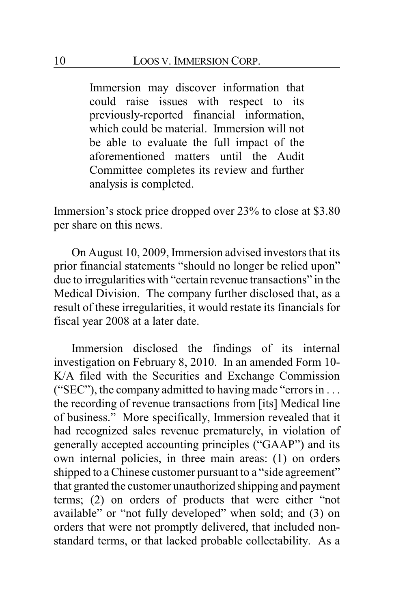Immersion may discover information that could raise issues with respect to its previously-reported financial information, which could be material. Immersion will not be able to evaluate the full impact of the aforementioned matters until the Audit Committee completes its review and further analysis is completed.

Immersion's stock price dropped over 23% to close at \$3.80 per share on this news.

On August 10, 2009, Immersion advised investors that its prior financial statements "should no longer be relied upon" due to irregularities with "certain revenue transactions" in the Medical Division. The company further disclosed that, as a result of these irregularities, it would restate its financials for fiscal year 2008 at a later date.

Immersion disclosed the findings of its internal investigation on February 8, 2010. In an amended Form 10- K/A filed with the Securities and Exchange Commission ("SEC"), the company admitted to having made "errors in . . . the recording of revenue transactions from [its] Medical line of business." More specifically, Immersion revealed that it had recognized sales revenue prematurely, in violation of generally accepted accounting principles ("GAAP") and its own internal policies, in three main areas: (1) on orders shipped to a Chinese customer pursuant to a "side agreement" that granted the customer unauthorized shipping and payment terms; (2) on orders of products that were either "not available" or "not fully developed" when sold; and (3) on orders that were not promptly delivered, that included nonstandard terms, or that lacked probable collectability. As a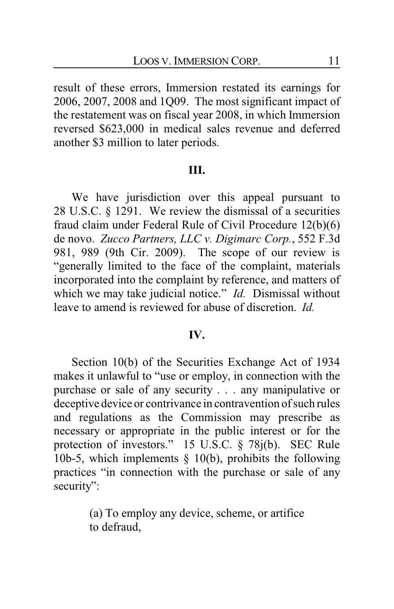result of these errors, Immersion restated its earnings for 2006, 2007, 2008 and 1Q09. The most significant impact of the restatement was on fiscal year 2008, in which Immersion reversed \$623,000 in medical sales revenue and deferred another \$3 million to later periods.

## **III.**

We have jurisdiction over this appeal pursuant to 28 U.S.C. § 1291. We review the dismissal of a securities fraud claim under Federal Rule of Civil Procedure 12(b)(6) de novo. *Zucco Partners, LLC v. Digimarc Corp.*, 552 F.3d 981, 989 (9th Cir. 2009). The scope of our review is "generally limited to the face of the complaint, materials incorporated into the complaint by reference, and matters of which we may take judicial notice." *Id.* Dismissal without leave to amend is reviewed for abuse of discretion. *Id.*

#### **IV.**

Section 10(b) of the Securities Exchange Act of 1934 makes it unlawful to "use or employ, in connection with the purchase or sale of any security . . . any manipulative or deceptive device or contrivance in contravention of such rules and regulations as the Commission may prescribe as necessary or appropriate in the public interest or for the protection of investors." 15 U.S.C. § 78j(b). SEC Rule 10b-5, which implements  $\S$  10(b), prohibits the following practices "in connection with the purchase or sale of any security":

> (a) To employ any device, scheme, or artifice to defraud,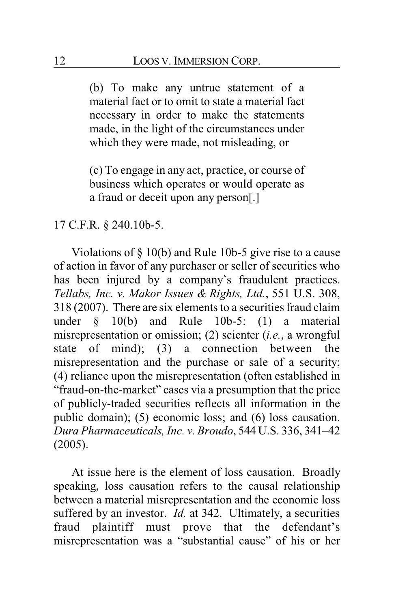(b) To make any untrue statement of a material fact or to omit to state a material fact necessary in order to make the statements made, in the light of the circumstances under which they were made, not misleading, or

(c) To engage in any act, practice, or course of business which operates or would operate as a fraud or deceit upon any person[.]

## 17 C.F.R. § 240.10b-5.

Violations of § 10(b) and Rule 10b-5 give rise to a cause of action in favor of any purchaser or seller of securities who has been injured by a company's fraudulent practices. *Tellabs, Inc. v. Makor Issues & Rights, Ltd.*, 551 U.S. 308, 318 (2007). There are six elements to a securities fraud claim under § 10(b) and Rule 10b-5: (1) a material misrepresentation or omission; (2) scienter (*i.e.*, a wrongful state of mind); (3) a connection between the misrepresentation and the purchase or sale of a security; (4) reliance upon the misrepresentation (often established in "fraud-on-the-market" cases via a presumption that the price of publicly-traded securities reflects all information in the public domain); (5) economic loss; and (6) loss causation. *Dura Pharmaceuticals, Inc. v. Broudo*, 544 U.S. 336, 341–42 (2005).

At issue here is the element of loss causation. Broadly speaking, loss causation refers to the causal relationship between a material misrepresentation and the economic loss suffered by an investor. *Id.* at 342. Ultimately, a securities fraud plaintiff must prove that the defendant's misrepresentation was a "substantial cause" of his or her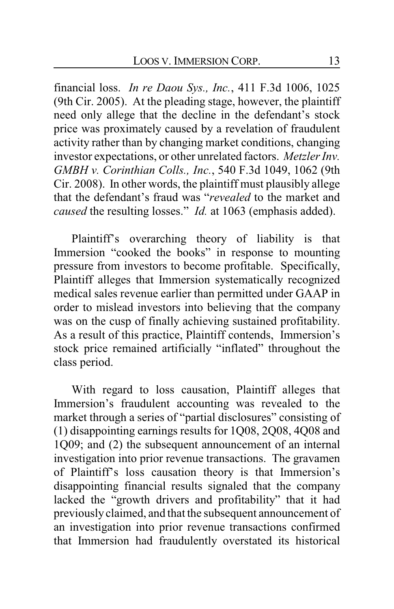financial loss. *In re Daou Sys., Inc.*, 411 F.3d 1006, 1025 (9th Cir. 2005). At the pleading stage, however, the plaintiff need only allege that the decline in the defendant's stock price was proximately caused by a revelation of fraudulent activity rather than by changing market conditions, changing investor expectations, or other unrelated factors. *Metzler Inv. GMBH v. Corinthian Colls., Inc.*, 540 F.3d 1049, 1062 (9th Cir. 2008). In other words, the plaintiff must plausibly allege that the defendant's fraud was "*revealed* to the market and *caused* the resulting losses." *Id.* at 1063 (emphasis added).

Plaintiff's overarching theory of liability is that Immersion "cooked the books" in response to mounting pressure from investors to become profitable. Specifically, Plaintiff alleges that Immersion systematically recognized medical sales revenue earlier than permitted under GAAP in order to mislead investors into believing that the company was on the cusp of finally achieving sustained profitability. As a result of this practice, Plaintiff contends, Immersion's stock price remained artificially "inflated" throughout the class period.

With regard to loss causation, Plaintiff alleges that Immersion's fraudulent accounting was revealed to the market through a series of "partial disclosures" consisting of (1) disappointing earnings results for 1Q08, 2Q08, 4Q08 and 1Q09; and (2) the subsequent announcement of an internal investigation into prior revenue transactions. The gravamen of Plaintiff's loss causation theory is that Immersion's disappointing financial results signaled that the company lacked the "growth drivers and profitability" that it had previously claimed, and that the subsequent announcement of an investigation into prior revenue transactions confirmed that Immersion had fraudulently overstated its historical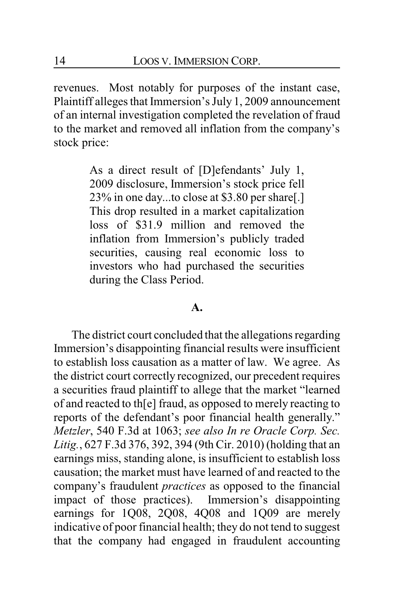revenues. Most notably for purposes of the instant case, Plaintiff alleges that Immersion's July 1, 2009 announcement of an internal investigation completed the revelation of fraud to the market and removed all inflation from the company's stock price:

> As a direct result of [D]efendants' July 1, 2009 disclosure, Immersion's stock price fell 23% in one day...to close at \$3.80 per share[.] This drop resulted in a market capitalization loss of \$31.9 million and removed the inflation from Immersion's publicly traded securities, causing real economic loss to investors who had purchased the securities during the Class Period.

#### **A.**

The district court concluded that the allegations regarding Immersion's disappointing financial results were insufficient to establish loss causation as a matter of law. We agree. As the district court correctly recognized, our precedent requires a securities fraud plaintiff to allege that the market "learned of and reacted to th[e] fraud, as opposed to merely reacting to reports of the defendant's poor financial health generally." *Metzler*, 540 F.3d at 1063; *see also In re Oracle Corp. Sec. Litig.*, 627 F.3d 376, 392, 394 (9th Cir. 2010) (holding that an earnings miss, standing alone, is insufficient to establish loss causation; the market must have learned of and reacted to the company's fraudulent *practices* as opposed to the financial impact of those practices). Immersion's disappointing earnings for 1Q08, 2Q08, 4Q08 and 1Q09 are merely indicative of poor financial health; they do not tend to suggest that the company had engaged in fraudulent accounting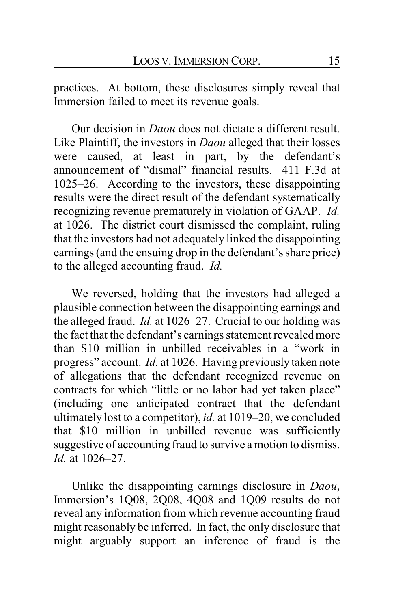practices. At bottom, these disclosures simply reveal that Immersion failed to meet its revenue goals.

Our decision in *Daou* does not dictate a different result. Like Plaintiff, the investors in *Daou* alleged that their losses were caused, at least in part, by the defendant's announcement of "dismal" financial results. 411 F.3d at 1025–26. According to the investors, these disappointing results were the direct result of the defendant systematically recognizing revenue prematurely in violation of GAAP. *Id.* at 1026. The district court dismissed the complaint, ruling that the investors had not adequately linked the disappointing earnings (and the ensuing drop in the defendant's share price) to the alleged accounting fraud. *Id.*

We reversed, holding that the investors had alleged a plausible connection between the disappointing earnings and the alleged fraud. *Id.* at 1026–27. Crucial to our holding was the fact that the defendant's earnings statement revealed more than \$10 million in unbilled receivables in a "work in progress" account. *Id.* at 1026. Having previously taken note of allegations that the defendant recognized revenue on contracts for which "little or no labor had yet taken place" (including one anticipated contract that the defendant ultimately lost to a competitor), *id.* at 1019–20, we concluded that \$10 million in unbilled revenue was sufficiently suggestive of accounting fraud to survive a motion to dismiss. *Id.* at 1026–27.

Unlike the disappointing earnings disclosure in *Daou*, Immersion's 1Q08, 2Q08, 4Q08 and 1Q09 results do not reveal any information from which revenue accounting fraud might reasonably be inferred. In fact, the only disclosure that might arguably support an inference of fraud is the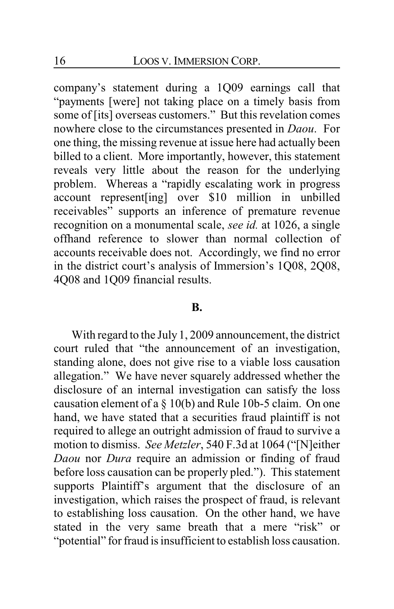company's statement during a 1Q09 earnings call that "payments [were] not taking place on a timely basis from some of [its] overseas customers." But this revelation comes nowhere close to the circumstances presented in *Daou*. For one thing, the missing revenue at issue here had actually been billed to a client. More importantly, however, this statement reveals very little about the reason for the underlying problem. Whereas a "rapidly escalating work in progress account represent[ing] over \$10 million in unbilled receivables" supports an inference of premature revenue recognition on a monumental scale, *see id.* at 1026, a single offhand reference to slower than normal collection of accounts receivable does not. Accordingly, we find no error in the district court's analysis of Immersion's 1Q08, 2Q08, 4Q08 and 1Q09 financial results.

#### **B.**

With regard to the July 1, 2009 announcement, the district court ruled that "the announcement of an investigation, standing alone, does not give rise to a viable loss causation allegation." We have never squarely addressed whether the disclosure of an internal investigation can satisfy the loss causation element of a § 10(b) and Rule 10b-5 claim. On one hand, we have stated that a securities fraud plaintiff is not required to allege an outright admission of fraud to survive a motion to dismiss. *See Metzler*, 540 F.3d at 1064 ("[N]either *Daou* nor *Dura* require an admission or finding of fraud before loss causation can be properly pled."). This statement supports Plaintiff's argument that the disclosure of an investigation, which raises the prospect of fraud, is relevant to establishing loss causation. On the other hand, we have stated in the very same breath that a mere "risk" or "potential" for fraud is insufficient to establish loss causation.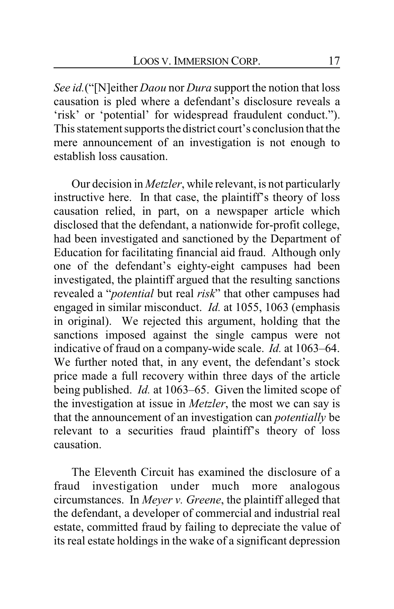*See id.*("[N]either *Daou* nor *Dura* support the notion that loss causation is pled where a defendant's disclosure reveals a 'risk' or 'potential' for widespread fraudulent conduct."). This statement supports the district court's conclusion that the mere announcement of an investigation is not enough to establish loss causation.

Our decision in *Metzler*, while relevant, is not particularly instructive here. In that case, the plaintiff's theory of loss causation relied, in part, on a newspaper article which disclosed that the defendant, a nationwide for-profit college, had been investigated and sanctioned by the Department of Education for facilitating financial aid fraud. Although only one of the defendant's eighty-eight campuses had been investigated, the plaintiff argued that the resulting sanctions revealed a "*potential* but real *risk*" that other campuses had engaged in similar misconduct. *Id.* at 1055, 1063 (emphasis in original). We rejected this argument, holding that the sanctions imposed against the single campus were not indicative of fraud on a company-wide scale. *Id.* at 1063–64. We further noted that, in any event, the defendant's stock price made a full recovery within three days of the article being published. *Id.* at 1063–65. Given the limited scope of the investigation at issue in *Metzler*, the most we can say is that the announcement of an investigation can *potentially* be relevant to a securities fraud plaintiff's theory of loss causation.

The Eleventh Circuit has examined the disclosure of a fraud investigation under much more analogous circumstances. In *Meyer v. Greene*, the plaintiff alleged that the defendant, a developer of commercial and industrial real estate, committed fraud by failing to depreciate the value of its real estate holdings in the wake of a significant depression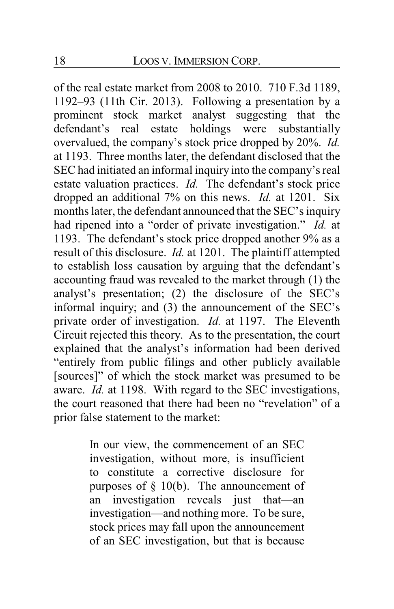of the real estate market from 2008 to 2010. 710 F.3d 1189, 1192–93 (11th Cir. 2013). Following a presentation by a prominent stock market analyst suggesting that the defendant's real estate holdings were substantially overvalued, the company's stock price dropped by 20%. *Id.* at 1193. Three months later, the defendant disclosed that the SEC had initiated an informal inquiry into the company's real estate valuation practices. *Id.* The defendant's stock price dropped an additional 7% on this news. *Id.* at 1201. Six months later, the defendant announced that the SEC's inquiry had ripened into a "order of private investigation." *Id.* at 1193. The defendant's stock price dropped another 9% as a result of this disclosure. *Id.* at 1201. The plaintiff attempted to establish loss causation by arguing that the defendant's accounting fraud was revealed to the market through (1) the analyst's presentation; (2) the disclosure of the SEC's informal inquiry; and (3) the announcement of the SEC's private order of investigation. *Id.* at 1197. The Eleventh Circuit rejected this theory. As to the presentation, the court explained that the analyst's information had been derived "entirely from public filings and other publicly available [sources]" of which the stock market was presumed to be aware. *Id.* at 1198. With regard to the SEC investigations, the court reasoned that there had been no "revelation" of a prior false statement to the market:

> In our view, the commencement of an SEC investigation, without more, is insufficient to constitute a corrective disclosure for purposes of  $\S$  10(b). The announcement of an investigation reveals just that—an investigation—and nothing more. To be sure, stock prices may fall upon the announcement of an SEC investigation, but that is because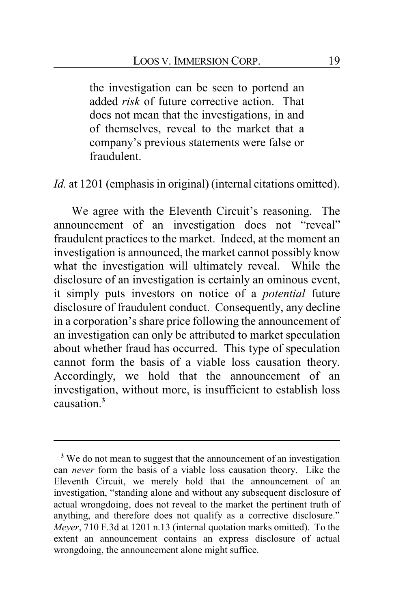the investigation can be seen to portend an added *risk* of future corrective action. That does not mean that the investigations, in and of themselves, reveal to the market that a company's previous statements were false or fraudulent.

*Id.* at 1201 (emphasis in original) (internal citations omitted).

We agree with the Eleventh Circuit's reasoning. The announcement of an investigation does not "reveal" fraudulent practices to the market. Indeed, at the moment an investigation is announced, the market cannot possibly know what the investigation will ultimately reveal. While the disclosure of an investigation is certainly an ominous event, it simply puts investors on notice of a *potential* future disclosure of fraudulent conduct. Consequently, any decline in a corporation's share price following the announcement of an investigation can only be attributed to market speculation about whether fraud has occurred. This type of speculation cannot form the basis of a viable loss causation theory. Accordingly, we hold that the announcement of an investigation, without more, is insufficient to establish loss causation.**<sup>3</sup>**

<sup>&</sup>lt;sup>3</sup> We do not mean to suggest that the announcement of an investigation can *never* form the basis of a viable loss causation theory. Like the Eleventh Circuit, we merely hold that the announcement of an investigation, "standing alone and without any subsequent disclosure of actual wrongdoing, does not reveal to the market the pertinent truth of anything, and therefore does not qualify as a corrective disclosure." *Meyer*, 710 F.3d at 1201 n.13 (internal quotation marks omitted). To the extent an announcement contains an express disclosure of actual wrongdoing, the announcement alone might suffice.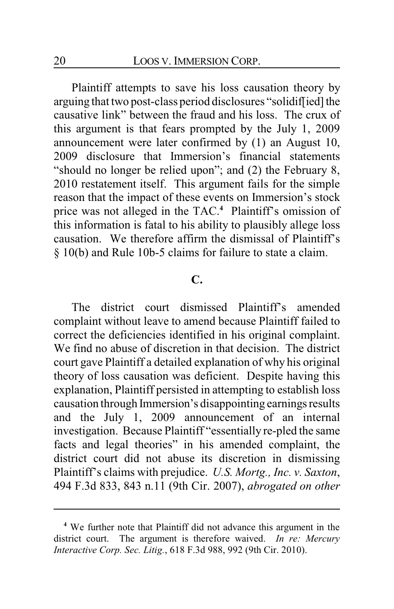Plaintiff attempts to save his loss causation theory by arguing that two post-class period disclosures "solidif[ied] the causative link" between the fraud and his loss. The crux of this argument is that fears prompted by the July 1, 2009 announcement were later confirmed by (1) an August 10, 2009 disclosure that Immersion's financial statements "should no longer be relied upon"; and (2) the February 8, 2010 restatement itself. This argument fails for the simple reason that the impact of these events on Immersion's stock price was not alleged in the TAC.**<sup>4</sup>** Plaintiff's omission of this information is fatal to his ability to plausibly allege loss causation. We therefore affirm the dismissal of Plaintiff's § 10(b) and Rule 10b-5 claims for failure to state a claim.

## **C.**

The district court dismissed Plaintiff's amended complaint without leave to amend because Plaintiff failed to correct the deficiencies identified in his original complaint. We find no abuse of discretion in that decision. The district court gave Plaintiff a detailed explanation of why his original theory of loss causation was deficient. Despite having this explanation, Plaintiff persisted in attempting to establish loss causation through Immersion's disappointing earnings results and the July 1, 2009 announcement of an internal investigation. Because Plaintiff "essentially re-pled the same facts and legal theories" in his amended complaint, the district court did not abuse its discretion in dismissing Plaintiff's claims with prejudice. *U.S. Mortg., Inc. v. Saxton*, 494 F.3d 833, 843 n.11 (9th Cir. 2007), *abrogated on other*

**<sup>4</sup>** We further note that Plaintiff did not advance this argument in the district court. The argument is therefore waived. *In re: Mercury Interactive Corp. Sec. Litig.*, 618 F.3d 988, 992 (9th Cir. 2010).